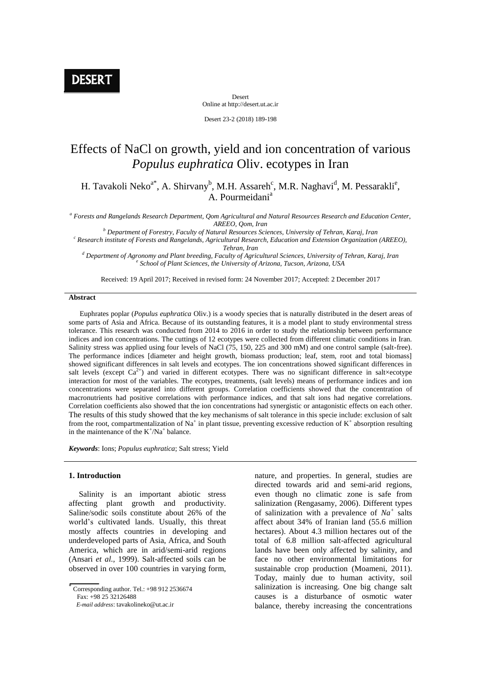Desert Online at http://desert.ut.ac.ir

Desert 23-2 (2018) 189-198

# Effects of NaCl on growth, yield and ion concentration of various *Populus euphratica* Oliv. ecotypes in Iran

H. Tavakoli Neko<sup>a\*</sup>, A. Shirvany<sup>b</sup>, M.H. Assareh<sup>c</sup>, M.R. Naghavi<sup>d</sup>, M. Pessarakli<sup>e</sup>, A. Pourmeidani<sup>a</sup>

*a Forests and Rangelands Research Department, Qom Agricultural and Natural Resources Research and Education Center, AREEO, Qom, Iran*

*<sup>b</sup> Department of Forestry, Faculty of Natural Resources Sciences, University of Tehran, Karaj, Iran c Research institute of Forests and Rangelands, Agricultural Research, Education and Extension Organization (AREEO),* 

*Tehran, Iran*

*<sup>d</sup> Department of Agronomy and Plant breeding, Faculty of Agricultural Sciences, University of Tehran, Karaj, Iran e School of Plant Sciences, the University of Arizona, Tucson, Arizona, USA*

Received: 19 April 2017; Received in revised form: 24 November 2017; Accepted: 2 December 2017

## **Abstract**

 Euphrates poplar (*Populus euphratica* Oliv.) is a woody species that is naturally distributed in the desert areas of some parts of Asia and Africa. Because of its outstanding features, it is a model plant to study environmental stress tolerance. This research was conducted from 2014 to 2016 in order to study the relationship between performance indices and ion concentrations. The cuttings of 12 ecotypes were collected from different climatic conditions in Iran. Salinity stress was applied using four levels of NaCl (75, 150, 225 and 300 mM) and one control sample (salt-free). The performance indices [diameter and height growth, biomass production; leaf, stem, root and total biomass] showed significant differences in salt levels and ecotypes. The ion concentrations showed significant differences in salt levels (except  $Ca^{2+}$ ) and varied in different ecotypes. There was no significant difference in salt×ecotype interaction for most of the variables. The ecotypes, treatments, (salt levels) means of performance indices and ion concentrations were separated into different groups. Correlation coefficients showed that the concentration of macronutrients had positive correlations with performance indices, and that salt ions had negative correlations. Correlation coefficients also showed that the ion concentrations had synergistic or antagonistic effects on each other. The results of this study showed that the key mechanisms of salt tolerance in this specie include: exclusion of salt from the root, compartmentalization of Na<sup>+</sup> in plant tissue, preventing excessive reduction of  $K^+$  absorption resulting in the maintenance of the  $K^+/\text{Na}^+$  balance.

*Keywords*: Ions; *Populus euphratica*; Salt stress; Yield

## **1. Introduction**

 Salinity is an important abiotic stress affecting plant growth and productivity. Saline/sodic soils constitute about 26% of the world's cultivated lands. Usually, this threat mostly affects countries in developing and underdeveloped parts of Asia, Africa, and South America, which are in arid/semi-arid regions (Ansari *et al.,* 1999). Salt-affected soils can be observed in over 100 countries in varying form,

 $\overline{\overline{\text{Corresponding author}}}\$ . Tel.: +98 912 2536674 Fax: +98 25 32126488

 *E-mail address*: tavakolineko@ut.ac.ir

nature, and properties. In general, studies are directed towards arid and semi-arid regions, even though no climatic zone is safe from salinization (Rengasamy, 2006). Different types of salinization with a prevalence of *Na<sup>+</sup>* salts affect about 34% of Iranian land (55.6 million hectares). About 4.3 million hectares out of the total of 6.8 million salt-affected agricultural lands have been only affected by salinity, and face no other environmental limitations for sustainable crop production (Moameni, 2011). Today, mainly due to human activity, soil salinization is increasing. One big change salt causes is a disturbance of osmotic water balance, thereby increasing the concentrations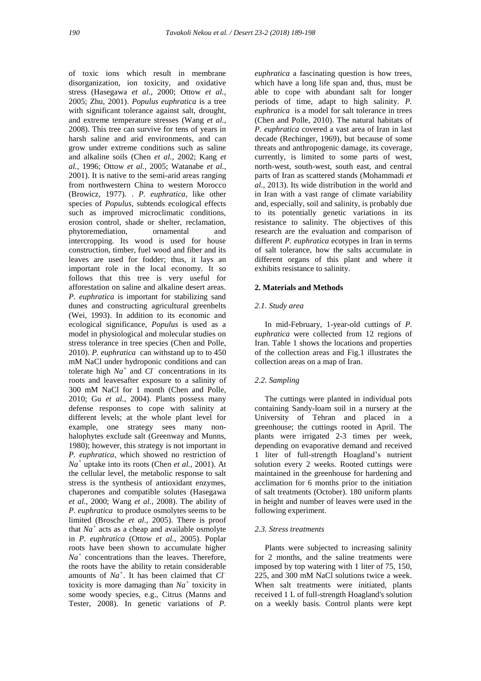of toxic ions which result in membrane disorganization, ion toxicity, and oxidative stress (Hasegawa *et al.*, 2000; Ottow *et al.*, 2005; Zhu, 2001). *Populus euphratica* is a tree with significant tolerance against salt, drought, and extreme temperature stresses (Wang *et al.*, 2008). This tree can survive for tens of years in harsh saline and arid environments, and can grow under extreme conditions such as saline and alkaline soils (Chen *et al.*, 2002; Kang *et al.*, 1996; Ottow *et al.*, 2005; Watanabe *et al.*, 2001). It is native to the semi-arid areas ranging from northwestern China to western Morocco (Browicz, 1977). . *P. euphratica,* like other species of *Populus,* subtends ecological effects such as improved microclimatic conditions, erosion control, shade or shelter, reclamation, phytoremediation, ornamental and intercropping. Its wood is used for house construction, timber, fuel wood and fiber and its leaves are used for fodder; thus, it lays an important role in the local economy. It so follows that this tree is very useful for afforestation on saline and alkaline desert areas. *P. euphratica* is important for stabilizing sand dunes and constructing agricultural greenbelts (Wei, 1993). In addition to its economic and ecological significance, *Populus* is used as a model in physiological and molecular studies on stress tolerance in tree species (Chen and Polle, 2010). *P. euphratica* can withstand up to to 450 mM NaCl under hydroponic conditions and can tolerate high  $Na^+$  and  $CI^-$  concentrations in its roots and leavesafter exposure to a salinity of 300 mM NaCl for 1 month (Chen and Polle, 2010; Gu *et al.*, 2004). Plants possess many defense responses to cope with salinity at different levels; at the whole plant level for example, one strategy sees many nonhalophytes exclude salt (Greenway and Munns, 1980); however, this strategy is not important in *P. euphratica*, which showed no restriction of *Na<sup>+</sup>* uptake into its roots (Chen *et al.*, 2001). At the cellular level, the metabolic response to salt stress is the synthesis of antioxidant enzymes, chaperones and compatible solutes (Hasegawa *et al.*, 2000; Wang *et al.*, 2008). The ability of *P. euphratica* to produce osmolytes seems to be limited (Brosche *et al.*, 2005). There is proof that  $Na<sup>+</sup>$  acts as a cheap and available osmolyte in *P. euphratica* (Ottow *et al.*, 2005). Poplar roots have been shown to accumulate higher *Na<sup>+</sup>* concentrations than the leaves. Therefore, the roots have the ability to retain considerable amounts of *Na<sup>+</sup>* . It has been claimed that *Cl–* toxicity is more damaging than *Na<sup>+</sup>* toxicity in some woody species, e.g., Citrus (Manns and Tester, 2008). In genetic variations of *P.* 

*euphratica* a fascinating question is how trees, which have a long life span and, thus, must be able to cope with abundant salt for longer periods of time, adapt to high salinity*. P. euphratica* is a model for salt tolerance in trees (Chen and Polle, 2010). The natural habitats of *P. euphratica* covered a vast area of Iran in last decade (Rechinger, 1969), but because of some threats and anthropogenic damage, its coverage, currently, is limited to some parts of west, north-west, south-west, south east, and central parts of Iran as scattered stands (Mohammadi *et al.*, 2013). Its wide distribution in the world and in Iran with a vast range of climate variability and, especially, soil and salinity, is probably due to its potentially genetic variations in its resistance to salinity. The objectives of this research are the evaluation and comparison of different *P. euphratica* ecotypes in Iran in terms of salt tolerance, how the salts accumulate in different organs of this plant and where it exhibits resistance to salinity.

### **2. Materials and Methods**

## *2.1. Study area*

 In mid-February, 1-year-old cuttings of *P. euphratica* were collected from 12 regions of Iran. Table 1 shows the locations and properties of the collection areas and Fig.1 illustrates the collection areas on a map of Iran.

### *2.2. Sampling*

 The cuttings were planted in individual pots containing Sandy-loam soil in a nursery at the University of Tehran and placed in a greenhouse; the cuttings rooted in April. The plants were irrigated 2-3 times per week, depending on evaporative demand and received 1 liter of full-strength Hoagland's nutrient solution every 2 weeks. Rooted cuttings were maintained in the greenhouse for hardening and acclimation for 6 months prior to the initiation of salt treatments (October). 180 uniform plants in height and number of leaves were used in the following experiment.

## *2.3. Stress treatments*

 Plants were subjected to increasing salinity for 2 months, and the saline treatments were imposed by top watering with 1 liter of 75, 150, 225, and 300 mM NaCl solutions twice a week. When salt treatments were initiated, plants received 1 L of full-strength Hoagland's solution on a weekly basis. Control plants were kept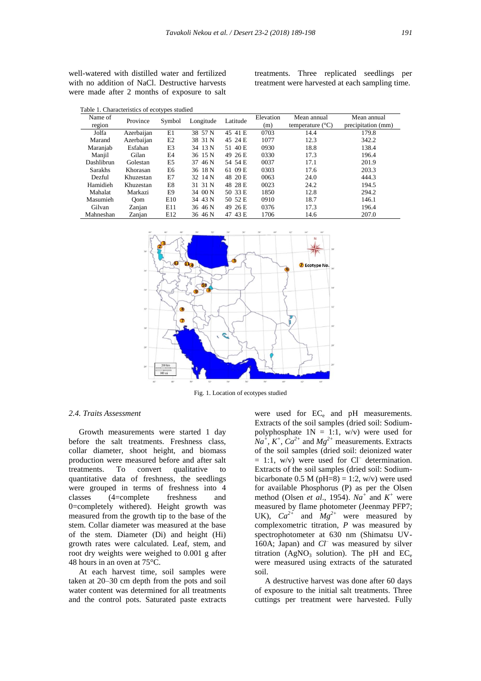well-watered with distilled water and fertilized with no addition of NaCl. Destructive harvests were made after 2 months of exposure to salt treatments. Three replicated seedlings per treatment were harvested at each sampling time.

| Name of<br>region | Province   | Symbol          | Longitude | Latitude | Elevation<br>(m) | Mean annual<br>temperature $(^{\circ}C)$ | Mean annual<br>precipitation (mm) |
|-------------------|------------|-----------------|-----------|----------|------------------|------------------------------------------|-----------------------------------|
| Jolfa             | Azerbaijan | E1              | 38 57 N   | 45 41 E  | 0703             | 14.4                                     | 179.8                             |
| Marand            | Azerbaijan | E2              | 38 31 N   | 45 24 E  | 1077             | 12.3                                     | 342.2                             |
| Maranjab          | Esfahan    | E3              | 34 13 N   | 51 40 E  | 0930             | 18.8                                     | 138.4                             |
| Manjil            | Gilan      | E4              | 36 15 N   | 49 26 E  | 0330             | 17.3                                     | 196.4                             |
| Dashlibrun        | Golestan   | E5              | 37 46 N   | 54 54 E  | 0037             | 17.1                                     | 201.9                             |
| <b>Sarakhs</b>    | Khorasan   | E6              | 36 18 N   | 61 09 E  | 0303             | 17.6                                     | 203.3                             |
| Dezful            | Khuzestan  | E7              | 32 14 N   | 48 20 E  | 0063             | 24.0                                     | 444.3                             |
| Hamidieh          | Khuzestan  | E8              | 31 31 N   | 48 28 E  | 0023             | 24.2                                     | 194.5                             |
| Mahalat           | Markazi    | E9              | 34 00 N   | 50 33 E  | 1850             | 12.8                                     | 294.2                             |
| Masumieh          | Oom        | E10             | 34 43 N   | 50 52 E  | 0910             | 18.7                                     | 146.1                             |
| Gilvan            | Zanjan     | E11             | 36 46 N   | 49 26 E  | 0376             | 17.3                                     | 196.4                             |
| Mahneshan         | Zanjan     | E <sub>12</sub> | 36 46 N   | 47 43 E  | 1706             | 14.6                                     | 207.0                             |



Fig. 1. Location of ecotypes studied

## *2.4. Traits Assessment*

 Growth measurements were started 1 day before the salt treatments. Freshness class, collar diameter, shoot height, and biomass production were measured before and after salt treatments. To convert qualitative to quantitative data of freshness, the seedlings were grouped in terms of freshness into 4 classes (4=complete freshness and 0=completely withered). Height growth was measured from the growth tip to the base of the stem. Collar diameter was measured at the base of the stem. Diameter (Di) and height (Hi) growth rates were calculated. Leaf, stem, and root dry weights were weighed to 0.001 g after 48 hours in an oven at 75°C.

 At each harvest time, soil samples were taken at 20–30 cm depth from the pots and soil water content was determined for all treatments and the control pots. Saturated paste extracts were used for EC<sub>e</sub> and pH measurements. Extracts of the soil samples (dried soil: Sodiumpolyphosphate  $1N = 1:1$ , w/v) were used for  $Na^+$ ,  $K^+$ ,  $Ca^{2+}$  and  $Mg^{2+}$  measurements. Extracts of the soil samples (dried soil: deionized water  $= 1:1$ , w/v) were used for Cl<sup>–</sup> determination. Extracts of the soil samples (dried soil: Sodiumbicarbonate 0.5 M (pH=8) = 1:2,  $w/v$ ) were used for available Phosphorus (P) as per the Olsen method (Olsen *et al.*, 1954).  $Na^+$  and  $K^+$  were measured by flame photometer (Jeenmay PFP7; UK),  $Ca^{2+}$  and  $Mg^{2+}$  were measured by complexometric titration, *P* was measured by spectrophotometer at 630 nm (Shimatsu UV-160A; Japan) and *Cl–* was measured by silver titration (AgNO<sub>3</sub> solution). The pH and  $EC_e$ were measured using extracts of the saturated soil.

 A destructive harvest was done after 60 days of exposure to the initial salt treatments. Three cuttings per treatment were harvested. Fully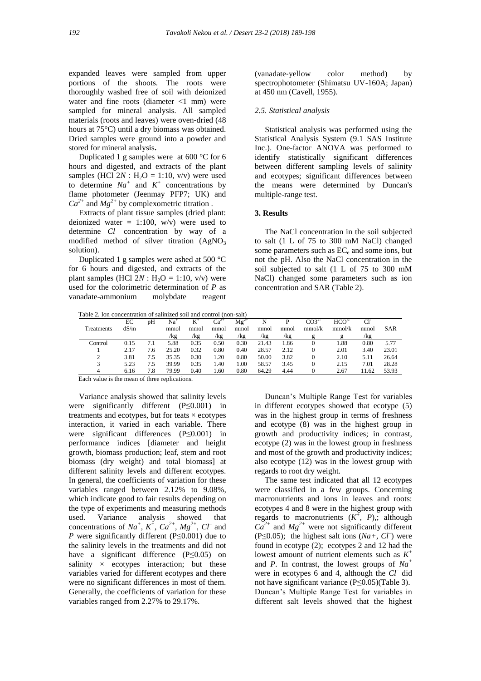expanded leaves were sampled from upper portions of the shoots. The roots were thoroughly washed free of soil with deionized water and fine roots (diameter <1 mm) were sampled for mineral analysis. All sampled materials (roots and leaves) were oven-dried (48 hours at 75°C) until a dry biomass was obtained. Dried samples were ground into a powder and stored for mineral analysis**.**

 Duplicated 1 g samples were at 600 °C for 6 hours and digested, and extracts of the plant samples (HCl  $2N$ : H<sub>2</sub>O = 1:10, v/v) were used to determine  $Na^+$  and  $K^+$  concentrations by flame photometer (Jeenmay PFP7; UK) and  $Ca^{2+}$  and  $Mg^{2+}$  by complexometric titration.

 Extracts of plant tissue samples (dried plant: deionized water = 1:100,  $w/v$ ) were used to determine *Cl–* concentration by way of a modified method of silver titration  $(AgNO<sub>3</sub>)$ solution).

 Duplicated 1 g samples were ashed at 500 °C for 6 hours and digested, and extracts of the plant samples (HCl  $2N$  : H<sub>2</sub>O = 1:10, v/v) were used for the colorimetric determination of *P* as vanadate-ammonium molybdate reagent

(vanadate‐yellow color method) by spectrophotometer (Shimatsu UV-160A; Japan) at 450 nm (Cavell, 1955).

## *2.5. Statistical analysis*

 Statistical analysis was performed using the Statistical Analysis System (9.1 SAS Institute Inc.). One-factor ANOVA was performed to identify statistically significant differences between different sampling levels of salinity and ecotypes; significant differences between the means were determined by Duncan's multiple-range test.

## **3. Results**

 The NaCl concentration in the soil subjected to salt (1 L of 75 to 300 mM NaCl) changed some parameters such as EC<sub>e</sub> and some ions, but not the pH. Also the NaCl concentration in the soil subjected to salt (1 L of 75 to 300 mM NaCl) changed some parameters such as ion concentration and SAR (Table 2).

| Table 2. Ion concentration of salinized soil and control (non-salt) |      |     |       |       |           |           |       |      |                  |                         |       |            |  |  |
|---------------------------------------------------------------------|------|-----|-------|-------|-----------|-----------|-------|------|------------------|-------------------------|-------|------------|--|--|
|                                                                     | EС   | pΗ  | Na    | $K^*$ | $Ca^{2+}$ | $Mg^{2+}$ | N     | р    | CO3 <sup>2</sup> | <b>HCO</b> <sup>2</sup> | -CF   |            |  |  |
| Treatments                                                          | dS/m |     | mmol  | mmol  | mmol      | mmol      | mmol  | mmol | mmol/k           | mmol/k                  | mmol  | <b>SAR</b> |  |  |
|                                                                     |      |     | /kg   | /kg   | /kg       | /kg       | /kg   | /kg  |                  |                         | /kg   |            |  |  |
| Control                                                             | 0.15 | 7.1 | 5.88  | 0.35  | 0.50      | 0.30      | 21.43 | 1.86 |                  | 1.88                    | 0.80  | 5.77       |  |  |
|                                                                     | 2.17 | 7.6 | 25.20 | 0.32  | 0.80      | 0.40      | 28.57 | 2.12 | $\theta$         | 2.01                    | 3.40  | 23.01      |  |  |
| 2                                                                   | 3.81 | 7.5 | 35.35 | 0.30  | 1.20      | 0.80      | 50.00 | 3.82 | 0                | 2.10                    | 5.11  | 26.64      |  |  |
|                                                                     | 5.23 | 7.5 | 39.99 | 0.35  | 1.40      | 1.00      | 58.57 | 3.45 | 0                | 2.15                    | 7.01  | 28.28      |  |  |
|                                                                     | 6.16 | 7.8 | 79.99 | 0.40  | 1.60      | 0.80      | 64.29 | 4.44 |                  | 2.67                    | 11.62 | 53.93      |  |  |

Each value is the mean of three replications.

 Variance analysis showed that salinity levels were significantly different (P≤0.001) in treatments and ecotypes, but for teats  $\times$  ecotypes interaction, it varied in each variable. There were significant differences (P≤0.001) in performance indices [diameter and height growth, biomass production; leaf, stem and root biomass (dry weight) and total biomass] at different salinity levels and different ecotypes. In general, the coefficients of variation for these variables ranged between 2.12% to 9.08%, which indicate good to fair results depending on the type of experiments and measuring methods used. Variance analysis showed that concentrations of  $Na^+$ ,  $K^+$ ,  $Ca^{2+}$ ,  $Mg^{2+}$ ,  $CT$  and *P* were significantly different (P≤0.001) due to the salinity levels in the treatments and did not have a significant difference (P≤0.05) on salinity  $\times$  ecotypes interaction; but these variables varied for different ecotypes and there were no significant differences in most of them. Generally, the coefficients of variation for these variables ranged from 2.27% to 29.17%.

 Duncan's Multiple Range Test for variables in different ecotypes showed that ecotype (5) was in the highest group in terms of freshness and ecotype (8) was in the highest group in growth and productivity indices; in contrast, ecotype (2) was in the lowest group in freshness and most of the growth and productivity indices; also ecotype (12) was in the lowest group with regards to root dry weight.

 The same test indicated that all 12 ecotypes were classified in a few groups. Concerning macronutrients and ions in leaves and roots: ecotypes 4 and 8 were in the highest group with regards to macronutrients  $(K^+, P)$ , although  $Ca^{2+}$  and  $Mg^{2+}$  were not significantly different (P $\leq$ 0.05); the highest salt ions (*Na+*, *CI*) were found in ecotype (2); ecotypes 2 and 12 had the lowest amount of nutrient elements such as *K +* and *P*. In contrast, the lowest groups of *Na<sup>+</sup>* were in ecotypes 6 and 4, although the *Cl–* did not have significant variance (P≤0.05)(Table 3). Duncan's Multiple Range Test for variables in different salt levels showed that the highest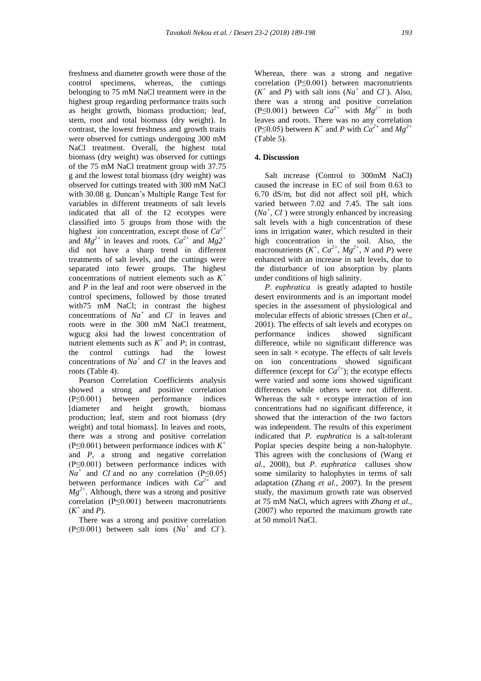freshness and diameter growth were those of the control specimens, whereas, the cuttings belonging to 75 mM NaCl treatment were in the highest group regarding performance traits such as height growth, biomass production; leaf, stem, root and total biomass (dry weight). In contrast, the lowest freshness and growth traits were observed for cuttings undergoing 300 mM NaCl treatment. Overall, the highest total biomass (dry weight) was observed for cuttings of the 75 mM NaCl treatment group with 37.75 g and the lowest total biomass (dry weight) was observed for cuttings treated with 300 mM NaCl with 30.08 g. Duncan's Multiple Range Test for variables in different treatments of salt levels indicated that all of the 12 ecotypes were classified into 5 groups from those with the highest ion concentration, except those of *Ca2+* and  $Mg^{2+}$  in leaves and roots.  $Ca^{2+}$  and  $Mg^{2+}$ did not have a sharp trend in different treatments of salt levels, and the cuttings were separated into fewer groups. The highest concentrations of nutrient elements such as  $K^+$ and *P* in the leaf and root were observed in the control specimens, followed by those treated with75 mM NaCl; in contrast the highest concentrations of  $Na^+$  and  $CI^-$  in leaves and roots were in the 300 mM NaCl treatment, wgucg aksi had the lowest concentration of nutrient elements such as  $K^+$  and  $P$ ; in contrast, the control cuttings had the lowest concentrations of  $Na<sup>+</sup>$  and  $Cl<sup>-</sup>$  in the leaves and roots (Table 4).

 Pearson Correlation Coefficients analysis showed a strong and positive correlation (P≤0.001) between performance indices [diameter and height growth, biomass production; leaf, stem and root biomass (dry weight) and total biomass]. In leaves and roots, there was a strong and positive correlation (P $\leq$ 0.001) between performance indices with  $K^+$ and *P*, a strong and negative correlation (P≤0.001) between performance indices with  $Na<sup>+</sup>$  and *Cl*<sup>–</sup>and no any correlation (P≤0.05) between performance indices with *Ca2+* and  $Mg^{2+}$ . Although, there was a strong and positive correlation (P≤0.001) between macronutrients  $(K^+ \text{ and } P).$ 

 There was a strong and positive correlation (P $\leq$ 0.001) between salt ions ( $Na^+$  and  $CI^-$ ).

Whereas, there was a strong and negative correlation (P≤0.001) between macronutrients  $(K^+ \text{ and } P)$  with salt ions  $(Na^+ \text{ and } Cl^-)$ . Also, there was a strong and positive correlation  $(P \le 0.001)$  between  $Ca^{2+}$  with  $Mg^{2+}$  in both leaves and roots. There was no any correlation (P  $\leq$ 0.05) between *K*<sup>+</sup> and *P* with *C* $a^{2+}$  and *M* $g^{2+}$ (Table 5).

# **4. Discussion**

 Salt increase (Control to 300mM NaCl) caused the increase in EC of soil from 0.63 to 6.70 dS/m, but did not affect soil pH, which varied between 7.02 and 7.45. The salt ions  $(Na^+, C\ell^-)$  were strongly enhanced by increasing salt levels with a high concentration of these ions in irrigation water, which resulted in their high concentration in the soil. Also, the macronutrients  $(K^+, Ca^{2+}, Mg^{2+}, N$  and *P*) were enhanced with an increase in salt levels, due to the disturbance of ion absorption by plants under conditions of high salinity.

 *P. euphratica* is greatly adapted to hostile desert environments and is an important model species in the assessment of physiological and molecular effects of abiotic stresses (Chen *et al.*, 2001). The effects of salt levels and ecotypes on performance indices showed significant difference, while no significant difference was seen in salt  $\times$  ecotype. The effects of salt levels on ion concentrations showed significant difference (except for  $Ca^{2+}$ ); the ecotype effects were varied and some ions showed significant differences while others were not different. Whereas the salt  $\times$  ecotype interaction of ion concentrations had no significant difference, it showed that the interaction of the two factors was independent. The results of this experiment indicated that *P. euphratica* is a salt-tolerant Poplar species despite being a non-halophyte. This agrees with the conclusions of (Wang *et al.*, 2008), but *P. euphratica* calluses show some similarity to halophytes in terms of salt adaptation (Zhang *et al.*, 2007). In the present study, the maximum growth rate was observed at 75 mM NaCl, which agrees with *Zhang et al.*, (2007) who reported the maximum growth rate at 50 mmol/l NaCl.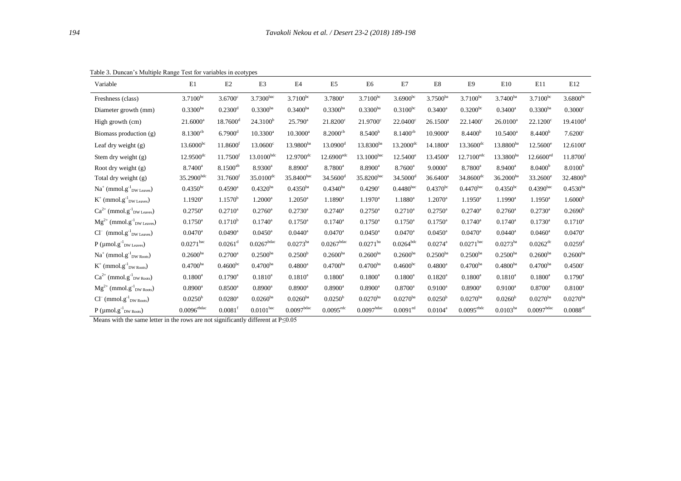| Variable                                                                | E1                      | E2                     | E3                      | E4                      | E <sub>5</sub>         | E6                     | E7                      | E8                    | E <sub>9</sub>          | E10                   | E11                  | E12                    |
|-------------------------------------------------------------------------|-------------------------|------------------------|-------------------------|-------------------------|------------------------|------------------------|-------------------------|-----------------------|-------------------------|-----------------------|----------------------|------------------------|
| Freshness (class)                                                       | $3.7100^{bc}$           | $3.6700^{\circ}$       | 3.7300bac               | $3.7100^{bc}$           | $3.7800^a$             | $3.7100^{bc}$          | $3.6900^{bc}$           | $3.7500^{ba}$         | $3.7100^{bc}$           | $3.7400^{ba}$         | $3.7100^{bc}$        | $3.6800^{bc}$          |
| Diameter growth (mm)                                                    | $0.3300^{ba}$           | $0.2300$ <sup>d</sup>  | $0.3300^{ba}$           | $0.3400^{ba}$           | $0.3300^{ba}$          | $0.3300^{ba}$          | $0.3100^{bc}$           | $0.3400^a$            | $0.3200^{bc}$           | $0.3400^a$            | $0.3300^{ba}$        | $0.3000^{\circ}$       |
| High growth (cm)                                                        | $21.6000^a$             | $18.7600$ <sup>d</sup> | 24.3100 <sup>b</sup>    | $25.790^{\circ}$        | $21.8200^{\circ}$      | $21.9700^{\circ}$      | $22.0400^{\circ}$       | $26.1500^a$           | $22.1400^{\circ}$       | $26.0100^a$           | $22.1200^{\circ}$    | $19.4100$ <sup>d</sup> |
| Biomass production (g)                                                  | $8.1300^{cb}$           | $6.7900$ <sup>d</sup>  | $10.3300^a$             | $10.3000^a$             | $8.2000^{cb}$          | 8.5400 <sup>b</sup>    | $8.1400^{cb}$           | $10.9000^a$           | 8.4400 <sup>b</sup>     | $10.5400^a$           | 8.4400 <sup>b</sup>  | $7.6200$ c             |
| Leaf dry weight $(g)$                                                   | $13.6000^{bc}$          | 11.8600 <sup>t</sup>   | $13.0600^{\circ}$       | $13.9800^{ba}$          | $13.0900$ <sup>d</sup> | $13.8300^{ba}$         | $13.2000$ <sup>dc</sup> | $14.1800^a$           | $13.3600$ <sup>dc</sup> | $13.8800^{ba}$        | $12.5600^{\circ}$    | $12.6100^e$            |
| Stem dry weight (g)                                                     | $12.9500$ <sup>dc</sup> | 11.7500 <sup>t</sup>   | $13.0100^{bdc}$         | $12.9700$ <sup>dc</sup> | $12.6900^{\text{edc}}$ | $13.1000^{bac}$        | $12.5400^{\circ}$       | $13.4500^a$           | $12.7100^{\text{edc}}$  | $13.3800^{ba}$        | $12.6600^{ed}$       | 11.8700 <sup>f</sup>   |
| Root dry weight (g)                                                     | $8.7400^a$              | $8.1500^{ab}$          | $8.9300^a$              | $8.8900^a$              | $8.7800^a$             | $8.8900^a$             | $8.7600^a$              | $9.0000^a$            | $8.7800^a$              | $8.9400^a$            | 8.0400 <sup>b</sup>  | 8.0100 <sup>b</sup>    |
| Total dry weight (g)                                                    | $35.2900^{\rm bdc}$     | 31.7600 <sup>f</sup>   | $35.0100$ <sup>dc</sup> | 35.8400bac              | $34.5600$ <sup>d</sup> | $35.8200^\mathrm{bac}$ | 34.5000 <sup>d</sup>    | $36.6400^a$           | $34.8600$ <sup>dc</sup> | $36.2000^{ba}$        | $33.2600^{\circ}$    | 32.4800 <sup>fe</sup>  |
| $Na^+$ (mmol.g <sup>-1</sup> <sub>DW Leaves</sub> )                     | $0.4350^{bc}$           | $0.4590$ <sup>a</sup>  | $0.4320^{ba}$           | $0.4350^{ba}$           | $0.4340^{ba}$          | $0.4290^{\circ}$       | $0.4480^{bac}$          | $0.4370^{bc}$         | $0.4470^{bac}$          | $0.4350^{bc}$         | $0.4390^{bac}$       | $0.4530^{ba}$          |
| $K^+$ (mmol.g <sup>-1</sup> <sub>DW Leaves</sub> )                      | $1.1920^a$              | $1.1570^{\rm b}$       | $1.2000^a$              | $1.2050^a$              | $1.1890^a$             | $1.1970^a$             | $1.1880^a$              | $1.2070^a$            | $1.1950^a$              | $1.1990^a$            | $1.1950^{\circ}$     | 1.6000 <sup>b</sup>    |
| $Ca^{2+}$ (mmol.g <sup>-1</sup> <sub>DW Leaves</sub> )                  | $0.2750$ <sup>a</sup>   | $0.2710^a$             | $0.2760^a$              | $0.2730^a$              | $0.2740^{\rm a}$       | $0.2750^a$             | $0.2710^a$              | $0.2750^{\text{a}}$   | $0.2740^a$              | $0.2760$ <sup>a</sup> | $0.2730^a$           | 0.2690 <sup>b</sup>    |
| $\text{Mg}^{2+}$ (mmol.g $^1_{\hspace{-0.5mm}\text{DW}\text{ Leaves}})$ | $0.1750^{\text{a}}$     | $0.1710^{b}$           | $0.1740^{\circ}$        | $0.1750^{\text{a}}$     | $0.1740^{\circ}$       | $0.1750^{\circ}$       | $0.1750^{\circ}$        | $0.1750^{\rm a}$      | $0.1740^{\circ}$        | $0.1740^{\circ}$      | $0.1730^a$           | $0.1710^a$             |
| $Cl^{-}$ (mmol.g <sup>-1</sup> <sub>DW Leaves</sub> )                   | $0.0470^a$              | $0.0490^{\text{a}}$    | $0.0450$ <sup>a</sup>   | $0.0440^a$              | $0.0470^{\rm a}$       | $0.0450$ <sup>a</sup>  | $0.0470^a$              | $0.0450^{\text{a}}$   | $0.0470^{\rm a}$        | $0.0440^a$            | $0.0460^a$           | $0.0470$ <sup>a</sup>  |
| $P$ (µmol.g <sup>-1</sup> <sub>DW Leaves</sub> )                        | $0.0271$ bac            | $0.0261$ <sup>d</sup>  | $0.0267$ bdac           | $0.0273^{ba}$           | $0.0267$ bdac          | $0.0271^{ba}$          | $0.0264^{bdc}$          | $0.0274$ <sup>a</sup> | $0.0271^{bac}$          | $0.0273^{ba}$         | $0.0262^{\text{dc}}$ | $0.0259$ <sup>d</sup>  |
| $Na^+$ (mmol.g <sup>-1</sup> <sub>DW Roots</sub> )                      | $0.2600^{ba}$           | $0.2700^a$             | $0.2500^{ba}$           | 0.2500 <sup>b</sup>     | $0.2600^{ba}$          | $0.2600^{ba}$          | $0.2600^{ba}$           | $0.2500^{ba}$         | $0.2500^{ba}$           | $0.2500^{ba}$         | $0.2600^{ba}$        | $0.2600^{ba}$          |
| $K^+$ (mmol.g <sup>-1</sup> <sub>DW Roots</sub> )                       | $0.4700^{ba}$           | $0.4600^{bc}$          | $0.4700^{ba}$           | $0.4800^a$              | $0.4700^{ba}$          | $0.4700^{ba}$          | $0.4600^{bc}$           | $0.4800^a$            | $0.4700^{ba}$           | $0.4800^{ba}$         | $0.4700^{ba}$        | $0.4500$ <sup>c</sup>  |
| $Ca^{2+}$ (mmol.g <sup>-1</sup> <sub>DW Roots</sub> )                   | $0.1800^a$              | $0.1790^{\rm a}$       | $0.1810^{a}$            | $0.1810^{a}$            | $0.1800^a$             | $0.1800^a$             | $0.1800^{\rm a}$        | $0.1820^a$            | $0.1800^{\rm a}$        | $0.1810^{a}$          | $0.1800^a$           | $0.1790^{\text{a}}$    |
| $Mg^{2+}$ (mmol.g <sup>-1</sup> <sub>DW Roots</sub> )                   | $0.8900$ <sup>a</sup>   | $0.8500^{\rm a}$       | $0.8900^{\rm a}$        | $0.8900^{\rm a}$        | $0.8900^a$             | $0.8900^a$             | $0.8700^a$              | $0.9100^a$            | $0.8900^{\rm a}$        | $0.9100^a$            | $0.8700^{\rm a}$     | $0.8100^a$             |
| $Cl^{-}$ (mmol.g <sup>-1</sup> <sub>DW Roots</sub> )                    | 0.0250 <sup>b</sup>     | $0.0280$ <sup>a</sup>  | $0.0260^{ba}$           | $0.0260^{ba}$           | 0.0250 <sup>b</sup>    | $0.0270^{ba}$          | $0.0270^{ba}$           | 0.0250 <sup>b</sup>   | $0.0270^{ba}$           | 0.0260 <sup>b</sup>   | $0.0270^{ba}$        | $0.0270^{ba}$          |
| $P$ (µmol.g <sup>-1</sup> <sub>DW Roots</sub> )                         | $0.0096$ ebdac          | $0.0081$ <sup>f</sup>  | $0.0101^{bac}$          | $0.0097^{\rm bdac}$     | $0.0095^{\text{edc}}$  | $0.0097$ bdac          | $0.0091$ <sup>ed</sup>  | $0.0104^a$            | $0.0095^{\rm ebdc}$     | $0.0103^{ba}$         | $0.0097^{\rm bdac}$  | $0.0088$ <sup>ef</sup> |

Table 3. Duncan's Multiple Range Test for variables in ecotypes

Means with the same letter in the rows are not significantly different at P≤0.05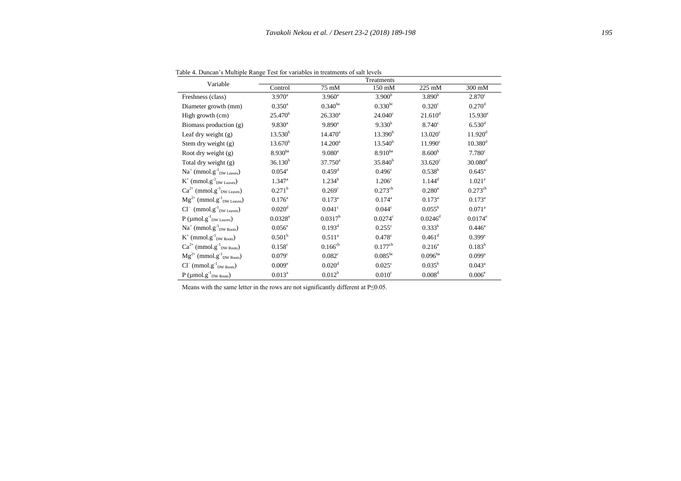| Variable                                               | Treatments            |                      |                      |                       |                       |  |  |  |  |  |  |  |
|--------------------------------------------------------|-----------------------|----------------------|----------------------|-----------------------|-----------------------|--|--|--|--|--|--|--|
|                                                        | Control               | 75 mM                | 150 mM               | $225 \text{ mM}$      | 300 mM                |  |  |  |  |  |  |  |
| Freshness (class)                                      | $3.970^{\rm a}$       | $3.960^{\rm a}$      | 3.900 <sup>b</sup>   | 3.890 <sup>b</sup>    | 2.870 <sup>c</sup>    |  |  |  |  |  |  |  |
| Diameter growth (mm)                                   | $0.350^{\rm a}$       | $0.340^{ba}$         | $0.330^{bc}$         | 0.320 <sup>c</sup>    | $0.270$ <sup>d</sup>  |  |  |  |  |  |  |  |
| High growth (cm)                                       | 25.470 <sup>b</sup>   | $26.330^{a}$         | $24.040^{\circ}$     | $21.610$ <sup>d</sup> | $15.930^e$            |  |  |  |  |  |  |  |
| Biomass production (g)                                 | $9.830^{a}$           | $9.890^{\rm a}$      | $9.330^{b}$          | $8.740^{\circ}$       | $6.530$ <sup>d</sup>  |  |  |  |  |  |  |  |
| Leaf dry weight $(g)$                                  | $13.530^{b}$          | $14.470^a$           | 13.390 <sup>b</sup>  | $13.020^{\circ}$      | $11.920$ <sup>d</sup> |  |  |  |  |  |  |  |
| Stem dry weight (g)                                    | 13.670 <sup>b</sup>   | $14.200^a$           | 13.540 <sup>b</sup>  | $11.990^{\circ}$      | 10.380 <sup>d</sup>   |  |  |  |  |  |  |  |
| Root dry weight (g)                                    | $8.930^{ba}$          | $9.080^a$            | $8.910^{ba}$         | 8.600 <sup>b</sup>    | 7.780 <sup>c</sup>    |  |  |  |  |  |  |  |
| Total dry weight (g)                                   | 36.130 <sup>b</sup>   | $37.750^{\circ}$     | 35.840 <sup>b</sup>  | $33.620^{\circ}$      | $30.080$ <sup>d</sup> |  |  |  |  |  |  |  |
| $Na^+$ (mmol.g <sup>-1</sup> <sub>DW Leaves</sub> )    | $0.054^{\circ}$       | $0.459^{\rm d}$      | 0.496 <sup>c</sup>   | $0.538^{\rm b}$       | $0.645^{\circ}$       |  |  |  |  |  |  |  |
| $K^+$ (mmol.g <sup>-1</sup> <sub>DW Leaves</sub> )     | $1.347^{\rm a}$       | $1.234^b$            | 1.206 <sup>c</sup>   | $1.144^d$             | $1.021^e$             |  |  |  |  |  |  |  |
| $Ca^{2+}$ (mmol.g <sup>-1</sup> <sub>DW Leaves</sub> ) | 0.271 <sup>b</sup>    | $0.269$ <sup>c</sup> | $0.273^{\text{cb}}$  | $0.280^{\rm a}$       | $0.273^{\text{cb}}$   |  |  |  |  |  |  |  |
| $Mg^{2+}$ (mmol.g <sup>-1</sup> <sub>DW Leaves</sub> ) | $0.176^{\rm a}$       | $0.173^{\rm a}$      | $0.174^{\rm a}$      | $0.173^{\rm a}$       | $0.173^{\rm a}$       |  |  |  |  |  |  |  |
| $Cl^{-}$ (mmol.g <sup>-1</sup> <sub>DW Leaves</sub> )  | 0.020 <sup>d</sup>    | $0.041$ <sup>c</sup> | 0.044 <sup>c</sup>   | $0.055^{\rm b}$       | $0.071$ <sup>a</sup>  |  |  |  |  |  |  |  |
| $P$ (µmol.g <sup>-1</sup> <sub>DW Leaves</sub> )       | $0.0328$ <sup>a</sup> | $0.0317^b$           | 0.0274c              | $0.0246^d$            | $0.0174^e$            |  |  |  |  |  |  |  |
| $Na^+$ (mmol.g <sup>-1</sup> <sub>DW Roots</sub> )     | 0.056 <sup>e</sup>    | 0.193 <sup>d</sup>   | $0.255$ <sup>c</sup> | $0.333^{b}$           | $0.446^{\circ}$       |  |  |  |  |  |  |  |
| $K^+$ (mmol.g <sup>-1</sup> <sub>DW Roots</sub> )      | 0.501 <sup>b</sup>    | $0.511^{a}$          | $0.478$ c            | $0.461$ <sup>d</sup>  | $0.399^e$             |  |  |  |  |  |  |  |
| $Ca^{2+}$ (mmol.g <sup>-1</sup> <sub>DW Roots</sub> )  | $0.158$ c             | $0.166^{cb}$         | $0.177^{\text{cb}}$  | $0.216^a$             | $0.183^{b}$           |  |  |  |  |  |  |  |
| $Mg^{2+}$ (mmol.g <sup>-1</sup> <sub>DW Roots</sub> )  | 0.079 <sup>c</sup>    | $0.082$ <sup>c</sup> | $0.085^{bc}$         | $0.096^{ba}$          | $0.099$ <sup>a</sup>  |  |  |  |  |  |  |  |

 $0.020<sup>d</sup>$ 

 $0.012^{b}$ 

 $0.025^{\circ}$ 

 $0.010^c$ 

 $0.035^{\rm b}$ 

 $0.008<sup>d</sup>$ 

 $0.043^a$ 

 $0.006<sup>e</sup>$ 

Table 4. Duncan's Multiple Range Test for variables in treatments of salt levels

Means with the same letter in the rows are not significantly different at P≤0.05.

 $Cl^-(mmol. g<sup>-1</sup><sub>DW Roots</sub>)$  0.009<sup>e</sup>

 $P \text{ (µmol.g}^{-1}\textsubscript{DW Roots})$  0.013<sup>a</sup>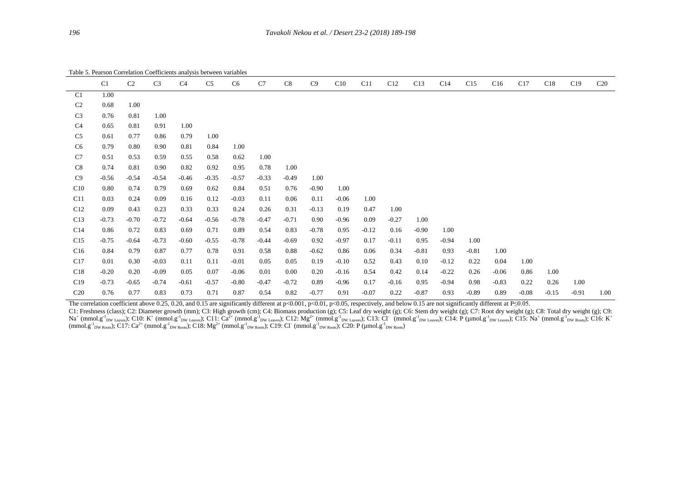Table 5. Pearson Correlation Coefficients analysis between variables

|                 | C <sub>1</sub> | C <sub>2</sub> | C <sub>3</sub> | C <sub>4</sub> | C <sub>5</sub> | C <sub>6</sub> | C7      | C8      | C9      | C10     | C11     | C12     | C13     | C14     | C15     | C16     | C17     | C18     | C19     | C <sub>20</sub> |
|-----------------|----------------|----------------|----------------|----------------|----------------|----------------|---------|---------|---------|---------|---------|---------|---------|---------|---------|---------|---------|---------|---------|-----------------|
| C <sub>1</sub>  | 1.00           |                |                |                |                |                |         |         |         |         |         |         |         |         |         |         |         |         |         |                 |
| C <sub>2</sub>  | 0.68           | 1.00           |                |                |                |                |         |         |         |         |         |         |         |         |         |         |         |         |         |                 |
| C <sub>3</sub>  | 0.76           | 0.81           | 1.00           |                |                |                |         |         |         |         |         |         |         |         |         |         |         |         |         |                 |
| C <sub>4</sub>  | 0.65           | 0.81           | 0.91           | 1.00           |                |                |         |         |         |         |         |         |         |         |         |         |         |         |         |                 |
| C <sub>5</sub>  | 0.61           | 0.77           | 0.86           | 0.79           | 1.00           |                |         |         |         |         |         |         |         |         |         |         |         |         |         |                 |
| C <sub>6</sub>  | 0.79           | 0.80           | 0.90           | 0.81           | 0.84           | 1.00           |         |         |         |         |         |         |         |         |         |         |         |         |         |                 |
| C7              | 0.51           | 0.53           | 0.59           | 0.55           | 0.58           | 0.62           | 1.00    |         |         |         |         |         |         |         |         |         |         |         |         |                 |
| C8              | 0.74           | 0.81           | 0.90           | 0.82           | 0.92           | 0.95           | 0.78    | 1.00    |         |         |         |         |         |         |         |         |         |         |         |                 |
| C9              | $-0.56$        | $-0.54$        | $-0.54$        | $-0.46$        | $-0.35$        | $-0.57$        | $-0.33$ | $-0.49$ | 1.00    |         |         |         |         |         |         |         |         |         |         |                 |
| C10             | 0.80           | 0.74           | 0.79           | 0.69           | 0.62           | 0.84           | 0.51    | 0.76    | $-0.90$ | 1.00    |         |         |         |         |         |         |         |         |         |                 |
| C11             | 0.03           | 0.24           | 0.09           | 0.16           | 0.12           | $-0.03$        | 0.11    | 0.06    | 0.11    | $-0.06$ | 1.00    |         |         |         |         |         |         |         |         |                 |
| C12             | 0.09           | 0.43           | 0.23           | 0.33           | 0.33           | 0.24           | 0.26    | 0.31    | $-0.13$ | 0.19    | 0.47    | 1.00    |         |         |         |         |         |         |         |                 |
| C13             | $-0.73$        | $-0.70$        | $-0.72$        | $-0.64$        | $-0.56$        | $-0.78$        | $-0.47$ | $-0.71$ | 0.90    | $-0.96$ | 0.09    | $-0.27$ | 1.00    |         |         |         |         |         |         |                 |
| C14             | 0.86           | 0.72           | 0.83           | 0.69           | 0.71           | 0.89           | 0.54    | 0.83    | $-0.78$ | 0.95    | $-0.12$ | 0.16    | $-0.90$ | 1.00    |         |         |         |         |         |                 |
| C15             | $-0.75$        | $-0.64$        | $-0.73$        | $-0.60$        | $-0.55$        | $-0.78$        | $-0.44$ | $-0.69$ | 0.92    | $-0.97$ | 0.17    | $-0.11$ | 0.95    | $-0.94$ | 1.00    |         |         |         |         |                 |
| C16             | 0.84           | 0.79           | 0.87           | 0.77           | 0.78           | 0.91           | 0.58    | 0.88    | $-0.62$ | 0.86    | 0.06    | 0.34    | $-0.81$ | 0.93    | $-0.81$ | 1.00    |         |         |         |                 |
| C17             | 0.01           | 0.30           | $-0.03$        | 0.11           | 0.11           | $-0.01$        | 0.05    | 0.05    | 0.19    | $-0.10$ | 0.52    | 0.43    | 0.10    | $-0.12$ | 0.22    | 0.04    | 1.00    |         |         |                 |
| C18             | $-0.20$        | 0.20           | $-0.09$        | 0.05           | 0.07           | $-0.06$        | 0.01    | 0.00    | 0.20    | $-0.16$ | 0.54    | 0.42    | 0.14    | $-0.22$ | 0.26    | $-0.06$ | 0.86    | 1.00    |         |                 |
| C19             | $-0.73$        | $-0.65$        | $-0.74$        | $-0.61$        | $-0.57$        | $-0.80$        | $-0.47$ | $-0.72$ | 0.89    | $-0.96$ | 0.17    | $-0.16$ | 0.95    | $-0.94$ | 0.98    | $-0.83$ | 0.22    | 0.26    | 1.00    |                 |
| C <sub>20</sub> | 0.76           | 0.77           | 0.83           | 0.73           | 0.71           | 0.87           | 0.54    | 0.82    | $-0.77$ | 0.91    | $-0.07$ | 0.22    | $-0.87$ | 0.93    | $-0.89$ | 0.89    | $-0.08$ | $-0.15$ | $-0.91$ | 1.00            |

The correlation coefficient above 0.25, 0.20, and 0.15 are significantly different at p<0.001, p<0.01, p<0.05, respectively, and below 0.15 are not significantly different at P≤0.05.

C1: Freshness (class); C2: Diameter growth (mm); C3: High growth (cm); C4: Biomass production (g); C5: Leaf dry weight (g); C6: Stem dry weight (g); C7: Root dry weight (g); C8: Total dry weight (g); C8: Total dry weight ( Na<sup>+</sup> (mmol.g<sup>-1</sup><sub>DW Leaves</sub>); C10: K<sup>+</sup> (mmol.g<sup>-1</sup><sub>DW Leaves</sub>); C11: Ca<sup>2+</sup> (mmol.g<sup>-1</sup><sub>DW Leaves</sub>); C12: Mg<sup>2+</sup> (mmol.g<sup>-1</sup><sub>DW Leaves</sub>); C13: Cl<sup>-</sup> (mmol.g<sup>-1</sup><sub>DW Leaves</sub>); C14: P (µmol.g<sup>-1</sup><sub>DW Leaves</sub>); C15: Na<sup>+</sup> (m  $(\text{mmol.g}^{\text{-1}}_{\text{DW Roots}})$ ; C17: Ca<sup>2+</sup> (mmol.g<sup>-1</sup><sub>DW Roots</sub>); C18: Mg<sup>2+</sup> (mmol.g<sup>-1</sup><sub>DW Roots</sub>); C19: Cl<sup>-</sup> (mmol.g<sup>-1</sup><sub>DW Roots</sub>); C20: P (µmol.g<sup>-1</sup><sub>DW Roots</sub>)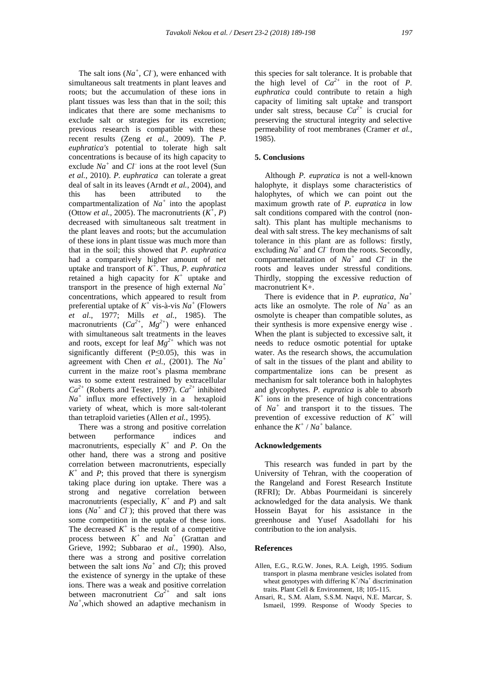The salt ions  $(Na^+, C\mathcal{F})$ , were enhanced with simultaneous salt treatments in plant leaves and roots; but the accumulation of these ions in plant tissues was less than that in the soil; this indicates that there are some mechanisms to exclude salt or strategies for its excretion; previous research is compatible with these recent results (Zeng *et al.*, 2009). The *P. euphratica's* potential to tolerate high salt concentrations is because of its high capacity to exclude  $Na^+$  and  $Cl^-$  ions at the root level (Sun *et al.*, 2010). *P. euphratica* can tolerate a great deal of salt in its leaves (Arndt *et al.*, 2004), and this has been attributed to the compartmentalization of  $Na<sup>+</sup>$  into the apoplast (Ottow *et al.*, 2005). The macronutrients  $(K^+, P)$ decreased with simultaneous salt treatment in the plant leaves and roots; but the accumulation of these ions in plant tissue was much more than that in the soil; this showed that *P. euphratica*  had a comparatively higher amount of net uptake and transport of  $K^+$ . Thus, *P. euphratica* retained a high capacity for  $K^+$  uptake and transport in the presence of high external *Na<sup>+</sup>* concentrations, which appeared to result from preferential uptake of  $K^+$  vis-à-vis  $Na^+$  (Flowers *et al*., 1977; Mills *et al.*, 1985). The macronutrients  $(Ca^{2+}, Mg^{2+})$  were enhanced with simultaneous salt treatments in the leaves and roots, except for leaf  $Mg^{2+}$  which was not significantly different (P≤0.05), this was in agreement with Chen *et al.*, (2001). The *Na<sup>+</sup>* current in the maize root's plasma membrane was to some extent restrained by extracellular  $Ca^{2+}$  (Roberts and Tester, 1997).  $Ca^{2+}$  inhibited  $Na<sup>+</sup>$  influx more effectively in a hexaploid variety of wheat, which is more salt-tolerant than tetraploid varieties (Allen *et al.*, 1995).

 There was a strong and positive correlation between performance indices and macronutrients, especially  $K^+$  and  $P$ . On the other hand, there was a strong and positive correlation between macronutrients, especially  $K^+$  and *P*; this proved that there is synergism taking place during ion uptake. There was a strong and negative correlation between macronutrients (especially,  $K^+$  and *P*) and salt ions  $(Na^+$  and  $CI^-)$ ; this proved that there was some competition in the uptake of these ions. The decreased  $K^+$  is the result of a competitive process between  $K^+$  and  $Na^+$  (Grattan and Grieve, 1992; Subbarao *et al.*, 1990). Also, there was a strong and positive correlation between the salt ions  $Na^+$  and *Cl*); this proved the existence of synergy in the uptake of these ions. There was a weak and positive correlation between macronutrient  $Ca^{2+}$  and salt ions *Na<sup>+</sup>* ,which showed an adaptive mechanism in

this species for salt tolerance. It is probable that the high level of  $Ca^{2+}$  in the root of *P*. *euphratica* could contribute to retain a high capacity of limiting salt uptake and transport under salt stress, because  $Ca^{2+}$  is crucial for preserving the structural integrity and selective permeability of root membranes (Cramer *et al.*, 1985).

# **5. Conclusions**

 Although *P. eupratica* is not a well-known halophyte, it displays some characteristics of halophytes, of which we can point out the maximum growth rate of *P. eupratica* in low salt conditions compared with the control (nonsalt). This plant has multiple mechanisms to deal with salt stress. The key mechanisms of salt tolerance in this plant are as follows: firstly, excluding  $Na^+$  and  $CI^-$  from the roots. Secondly, compartmentalization of *Na<sup>+</sup>* and *Cl–* in the roots and leaves under stressful conditions. Thirdly, stopping the excessive reduction of macronutrient K+.

 There is evidence that in *P. eupratica, Na<sup>+</sup>* acts like an osmolyte. The role of *Na<sup>+</sup>* as an osmolyte is cheaper than compatible solutes, as their synthesis is more expensive energy wise . When the plant is subjected to excessive salt, it needs to reduce osmotic potential for uptake water. As the research shows, the accumulation of salt in the tissues of the plant and ability to compartmentalize ions can be present as mechanism for salt tolerance both in halophytes and glycophytes. *P. eupratica* is able to absorb  $K^+$  ions in the presence of high concentrations of *Na<sup>+</sup>* and transport it to the tissues. The prevention of excessive reduction of  $K^+$  will enhance the  $K^+$  /  $Na^+$  balance.

## **Acknowledgements**

 This research was funded in part by the University of Tehran, with the cooperation of the Rangeland and Forest Research Institute (RFRI); Dr. Abbas Pourmeidani is sincerely acknowledged for the data analysis. We thank Hossein Bayat for his assistance in the greenhouse and Yusef Asadollahi for his contribution to the ion analysis.

## **References**

- Allen, E.G., R.G.W. Jones, R.A. Leigh, 1995. Sodium transport in plasma membrane vesicles isolated from wheat genotypes with differing  $K^+/Na^+$  discrimination traits. Plant Cell & Environment, 18; 105-115.
- Ansari, R., S.M. Alam, S.S.M. Naqvi, N.E. Marcar, S. Ismaeil, 1999. Response of Woody Species to